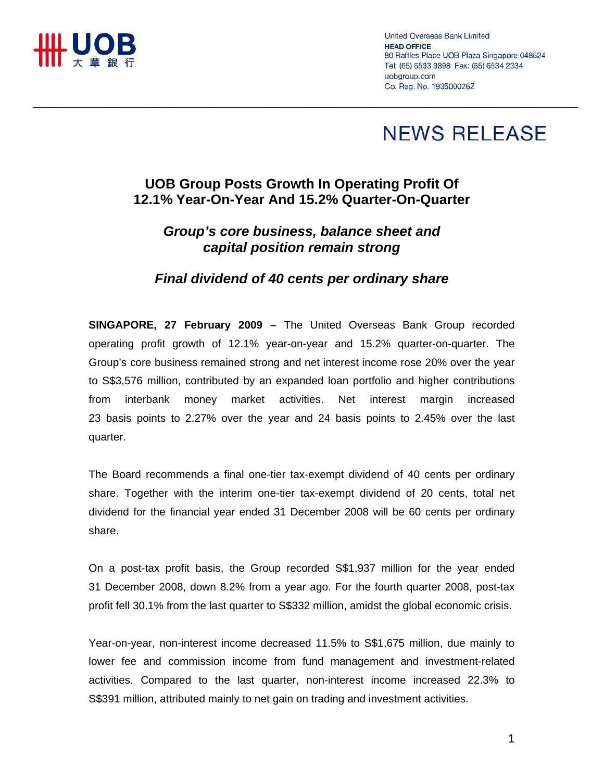

United Overseas Bank Limited **HEAD OFFICE** 80 Raffles Place UOB Plaza Singapore 048624 Tel: (65) 6533 9898 Fax: (65) 6534 2334 uobgroup.com Co. Reg. No. 193500026Z

# **NEWS RELEASE**

### **UOB Group Posts Growth In Operating Profit Of 12.1% Year-On-Year And 15.2% Quarter-On-Quarter**

## *Group's core business, balance sheet and capital position remain strong*

#### *Final dividend of 40 cents per ordinary share*

**SINGAPORE, 27 February 2009 –** The United Overseas Bank Group recorded operating profit growth of 12.1% year-on-year and 15.2% quarter-on-quarter. The Group's core business remained strong and net interest income rose 20% over the year to S\$3,576 million, contributed by an expanded loan portfolio and higher contributions from interbank money market activities. Net interest margin increased 23 basis points to 2.27% over the year and 24 basis points to 2.45% over the last quarter.

The Board recommends a final one-tier tax-exempt dividend of 40 cents per ordinary share. Together with the interim one-tier tax-exempt dividend of 20 cents, total net dividend for the financial year ended 31 December 2008 will be 60 cents per ordinary share.

On a post-tax profit basis, the Group recorded S\$1,937 million for the year ended 31 December 2008, down 8.2% from a year ago. For the fourth quarter 2008, post-tax profit fell 30.1% from the last quarter to S\$332 million, amidst the global economic crisis.

Year-on-year, non-interest income decreased 11.5% to S\$1,675 million, due mainly to lower fee and commission income from fund management and investment-related activities. Compared to the last quarter, non-interest income increased 22.3% to S\$391 million, attributed mainly to net gain on trading and investment activities.

1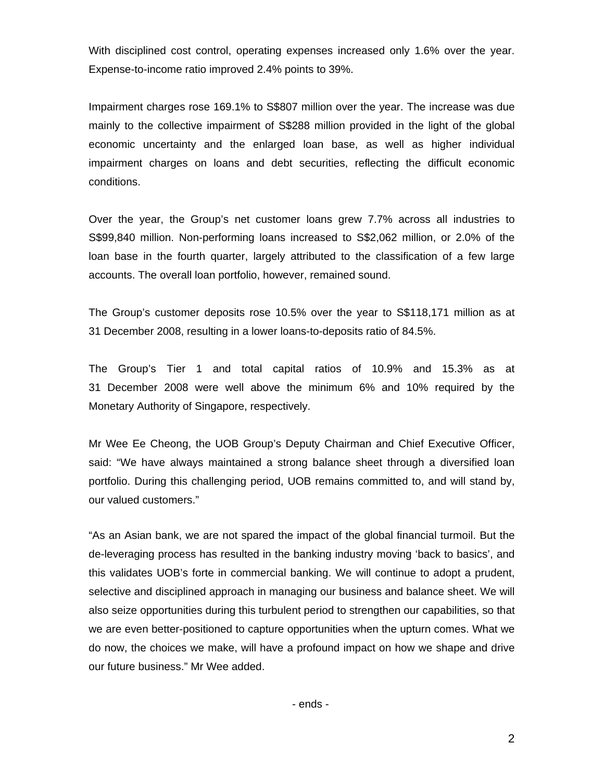With disciplined cost control, operating expenses increased only 1.6% over the year. Expense-to-income ratio improved 2.4% points to 39%.

Impairment charges rose 169.1% to S\$807 million over the year. The increase was due mainly to the collective impairment of S\$288 million provided in the light of the global economic uncertainty and the enlarged loan base, as well as higher individual impairment charges on loans and debt securities, reflecting the difficult economic conditions.

Over the year, the Group's net customer loans grew 7.7% across all industries to S\$99,840 million. Non-performing loans increased to S\$2,062 million, or 2.0% of the loan base in the fourth quarter, largely attributed to the classification of a few large accounts. The overall loan portfolio, however, remained sound.

The Group's customer deposits rose 10.5% over the year to S\$118,171 million as at 31 December 2008, resulting in a lower loans-to-deposits ratio of 84.5%.

The Group's Tier 1 and total capital ratios of 10.9% and 15.3% as at 31 December 2008 were well above the minimum 6% and 10% required by the Monetary Authority of Singapore, respectively.

Mr Wee Ee Cheong, the UOB Group's Deputy Chairman and Chief Executive Officer, said: "We have always maintained a strong balance sheet through a diversified loan portfolio. During this challenging period, UOB remains committed to, and will stand by, our valued customers."

"As an Asian bank, we are not spared the impact of the global financial turmoil. But the de-leveraging process has resulted in the banking industry moving 'back to basics', and this validates UOB's forte in commercial banking. We will continue to adopt a prudent, selective and disciplined approach in managing our business and balance sheet. We will also seize opportunities during this turbulent period to strengthen our capabilities, so that we are even better-positioned to capture opportunities when the upturn comes. What we do now, the choices we make, will have a profound impact on how we shape and drive our future business." Mr Wee added.